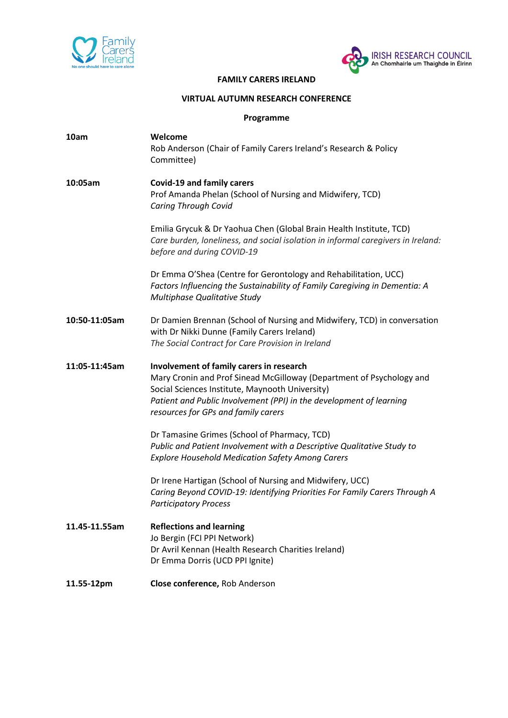



#### **FAMILY CARERS IRELAND**

#### **VIRTUAL AUTUMN RESEARCH CONFERENCE**

### **Programme**

| 10am          | Welcome<br>Rob Anderson (Chair of Family Carers Ireland's Research & Policy<br>Committee)                                                                                                                                                                                         |
|---------------|-----------------------------------------------------------------------------------------------------------------------------------------------------------------------------------------------------------------------------------------------------------------------------------|
| 10:05am       | <b>Covid-19 and family carers</b><br>Prof Amanda Phelan (School of Nursing and Midwifery, TCD)<br><b>Caring Through Covid</b>                                                                                                                                                     |
|               | Emilia Grycuk & Dr Yaohua Chen (Global Brain Health Institute, TCD)<br>Care burden, loneliness, and social isolation in informal caregivers in Ireland:<br>before and during COVID-19                                                                                             |
|               | Dr Emma O'Shea (Centre for Gerontology and Rehabilitation, UCC)<br>Factors Influencing the Sustainability of Family Caregiving in Dementia: A<br>Multiphase Qualitative Study                                                                                                     |
| 10:50-11:05am | Dr Damien Brennan (School of Nursing and Midwifery, TCD) in conversation<br>with Dr Nikki Dunne (Family Carers Ireland)<br>The Social Contract for Care Provision in Ireland                                                                                                      |
| 11:05-11:45am | Involvement of family carers in research<br>Mary Cronin and Prof Sinead McGilloway (Department of Psychology and<br>Social Sciences Institute, Maynooth University)<br>Patient and Public Involvement (PPI) in the development of learning<br>resources for GPs and family carers |
|               | Dr Tamasine Grimes (School of Pharmacy, TCD)<br>Public and Patient Involvement with a Descriptive Qualitative Study to<br><b>Explore Household Medication Safety Among Carers</b>                                                                                                 |
|               | Dr Irene Hartigan (School of Nursing and Midwifery, UCC)<br>Caring Beyond COVID-19: Identifying Priorities For Family Carers Through A<br><b>Participatory Process</b>                                                                                                            |
| 11.45-11.55am | <b>Reflections and learning</b><br>Jo Bergin (FCI PPI Network)<br>Dr Avril Kennan (Health Research Charities Ireland)<br>Dr Emma Dorris (UCD PPI Ignite)                                                                                                                          |
| 11.55-12pm    | Close conference, Rob Anderson                                                                                                                                                                                                                                                    |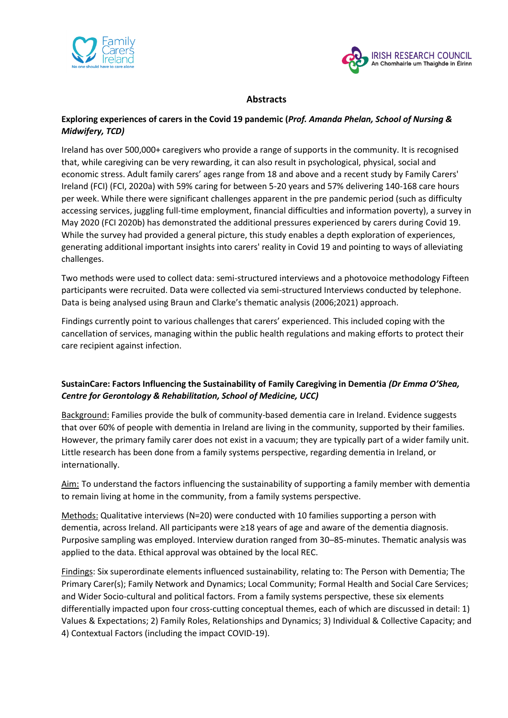



## **Abstracts**

## **Exploring experiences of carers in the Covid 19 pandemic (***Prof. Amanda Phelan, School of Nursing & Midwifery, TCD)*

Ireland has over 500,000+ caregivers who provide a range of supports in the community. It is recognised that, while caregiving can be very rewarding, it can also result in psychological, physical, social and economic stress. Adult family carers' ages range from 18 and above and a recent study by Family Carers' Ireland (FCI) (FCI, 2020a) with 59% caring for between 5-20 years and 57% delivering 140-168 care hours per week. While there were significant challenges apparent in the pre pandemic period (such as difficulty accessing services, juggling full-time employment, financial difficulties and information poverty), a survey in May 2020 (FCI 2020b) has demonstrated the additional pressures experienced by carers during Covid 19. While the survey had provided a general picture, this study enables a depth exploration of experiences, generating additional important insights into carers' reality in Covid 19 and pointing to ways of alleviating challenges.

Two methods were used to collect data: semi-structured interviews and a photovoice methodology Fifteen participants were recruited. Data were collected via semi-structured Interviews conducted by telephone. Data is being analysed using Braun and Clarke's thematic analysis (2006;2021) approach.

Findings currently point to various challenges that carers' experienced. This included coping with the cancellation of services, managing within the public health regulations and making efforts to protect their care recipient against infection.

## **SustainCare: Factors Influencing the Sustainability of Family Caregiving in Dementia** *(Dr Emma O'Shea, Centre for Gerontology & Rehabilitation, School of Medicine, UCC)*

Background: Families provide the bulk of community-based dementia care in Ireland. Evidence suggests that over 60% of people with dementia in Ireland are living in the community, supported by their families. However, the primary family carer does not exist in a vacuum; they are typically part of a wider family unit. Little research has been done from a family systems perspective, regarding dementia in Ireland, or internationally.

Aim: To understand the factors influencing the sustainability of supporting a family member with dementia to remain living at home in the community, from a family systems perspective.

Methods: Qualitative interviews (N=20) were conducted with 10 families supporting a person with dementia, across Ireland. All participants were ≥18 years of age and aware of the dementia diagnosis. Purposive sampling was employed. Interview duration ranged from 30–85-minutes. Thematic analysis was applied to the data. Ethical approval was obtained by the local REC.

Findings: Six superordinate elements influenced sustainability, relating to: The Person with Dementia; The Primary Carer(s); Family Network and Dynamics; Local Community; Formal Health and Social Care Services; and Wider Socio-cultural and political factors. From a family systems perspective, these six elements differentially impacted upon four cross-cutting conceptual themes, each of which are discussed in detail: 1) Values & Expectations; 2) Family Roles, Relationships and Dynamics; 3) Individual & Collective Capacity; and 4) Contextual Factors (including the impact COVID-19).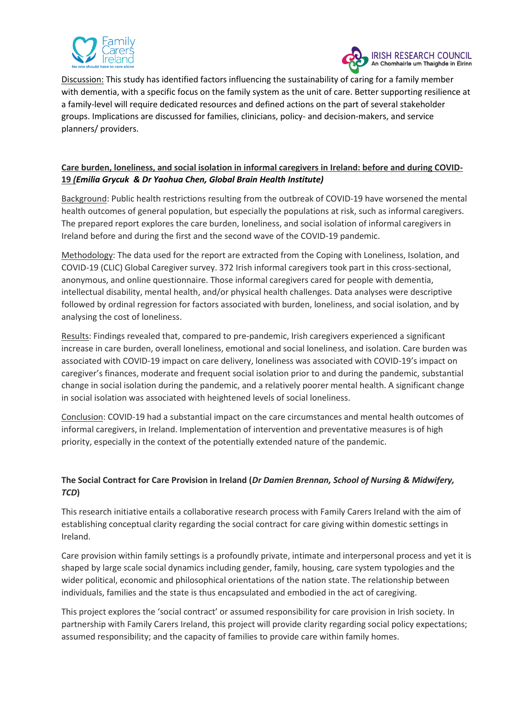



Discussion: This study has identified factors influencing the sustainability of caring for a family member with dementia, with a specific focus on the family system as the unit of care. Better supporting resilience at a family-level will require dedicated resources and defined actions on the part of several stakeholder groups. Implications are discussed for families, clinicians, policy- and decision-makers, and service planners/ providers.

# **Care burden, loneliness, and social isolation in informal caregivers in Ireland: before and during COVID-19** *(Emilia Grycuk & Dr Yaohua Chen, Global Brain Health Institute)*

Background: Public health restrictions resulting from the outbreak of COVID-19 have worsened the mental health outcomes of general population, but especially the populations at risk, such as informal caregivers. The prepared report explores the care burden, loneliness, and social isolation of informal caregivers in Ireland before and during the first and the second wave of the COVID-19 pandemic.

Methodology: The data used for the report are extracted from the Coping with Loneliness, Isolation, and COVID-19 (CLIC) Global Caregiver survey. 372 Irish informal caregivers took part in this cross-sectional, anonymous, and online questionnaire. Those informal caregivers cared for people with dementia, intellectual disability, mental health, and/or physical health challenges. Data analyses were descriptive followed by ordinal regression for factors associated with burden, loneliness, and social isolation, and by analysing the cost of loneliness.

Results: Findings revealed that, compared to pre-pandemic, Irish caregivers experienced a significant increase in care burden, overall loneliness, emotional and social loneliness, and isolation. Care burden was associated with COVID-19 impact on care delivery, loneliness was associated with COVID-19's impact on caregiver's finances, moderate and frequent social isolation prior to and during the pandemic, substantial change in social isolation during the pandemic, and a relatively poorer mental health. A significant change in social isolation was associated with heightened levels of social loneliness.

Conclusion: COVID-19 had a substantial impact on the care circumstances and mental health outcomes of informal caregivers, in Ireland. Implementation of intervention and preventative measures is of high priority, especially in the context of the potentially extended nature of the pandemic.

# **The Social Contract for Care Provision in Ireland (***Dr Damien Brennan, School of Nursing & Midwifery, TCD***)**

This research initiative entails a collaborative research process with Family Carers Ireland with the aim of establishing conceptual clarity regarding the social contract for care giving within domestic settings in Ireland.

Care provision within family settings is a profoundly private, intimate and interpersonal process and yet it is shaped by large scale social dynamics including gender, family, housing, care system typologies and the wider political, economic and philosophical orientations of the nation state. The relationship between individuals, families and the state is thus encapsulated and embodied in the act of caregiving.

This project explores the 'social contract' or assumed responsibility for care provision in Irish society. In partnership with Family Carers Ireland, this project will provide clarity regarding social policy expectations; assumed responsibility; and the capacity of families to provide care within family homes.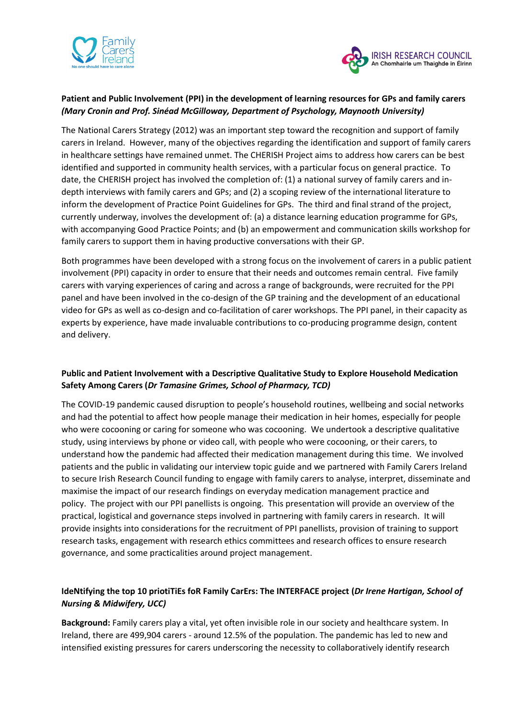



## **Patient and Public Involvement (PPI) in the development of learning resources for GPs and family carers**  *(Mary Cronin and Prof. Sinéad McGilloway, Department of Psychology, Maynooth University)*

The National Carers Strategy (2012) was an important step toward the recognition and support of family carers in Ireland. However, many of the objectives regarding the identification and support of family carers in healthcare settings have remained unmet. The CHERISH Project aims to address how carers can be best identified and supported in community health services, with a particular focus on general practice. To date, the CHERISH project has involved the completion of: (1) a national survey of family carers and indepth interviews with family carers and GPs; and (2) a scoping review of the international literature to inform the development of Practice Point Guidelines for GPs. The third and final strand of the project, currently underway, involves the development of: (a) a distance learning education programme for GPs, with accompanying Good Practice Points; and (b) an empowerment and communication skills workshop for family carers to support them in having productive conversations with their GP.

Both programmes have been developed with a strong focus on the involvement of carers in a public patient involvement (PPI) capacity in order to ensure that their needs and outcomes remain central. Five family carers with varying experiences of caring and across a range of backgrounds, were recruited for the PPI panel and have been involved in the co-design of the GP training and the development of an educational video for GPs as well as co-design and co-facilitation of carer workshops. The PPI panel, in their capacity as experts by experience, have made invaluable contributions to co-producing programme design, content and delivery.

## **Public and Patient Involvement with a Descriptive Qualitative Study to Explore Household Medication Safety Among Carers (***Dr Tamasine Grimes, School of Pharmacy, TCD)*

The COVID-19 pandemic caused disruption to people's household routines, wellbeing and social networks and had the potential to affect how people manage their medication in heir homes, especially for people who were cocooning or caring for someone who was cocooning. We undertook a descriptive qualitative study, using interviews by phone or video call, with people who were cocooning, or their carers, to understand how the pandemic had affected their medication management during this time. We involved patients and the public in validating our interview topic guide and we partnered with Family Carers Ireland to secure Irish Research Council funding to engage with family carers to analyse, interpret, disseminate and maximise the impact of our research findings on everyday medication management practice and policy. The project with our PPI panellists is ongoing. This presentation will provide an overview of the practical, logistical and governance steps involved in partnering with family carers in research. It will provide insights into considerations for the recruitment of PPI panellists, provision of training to support research tasks, engagement with research ethics committees and research offices to ensure research governance, and some practicalities around project management.

# **IdeNtifying the top 10 priotiTiEs foR Family CarErs: The INTERFACE project (***Dr Irene Hartigan, School of Nursing & Midwifery, UCC)*

**Background:** Family carers play a vital, yet often invisible role in our society and healthcare system. In Ireland, there are 499,904 carers - around 12.5% of the population. The pandemic has led to new and intensified existing pressures for carers underscoring the necessity to collaboratively identify research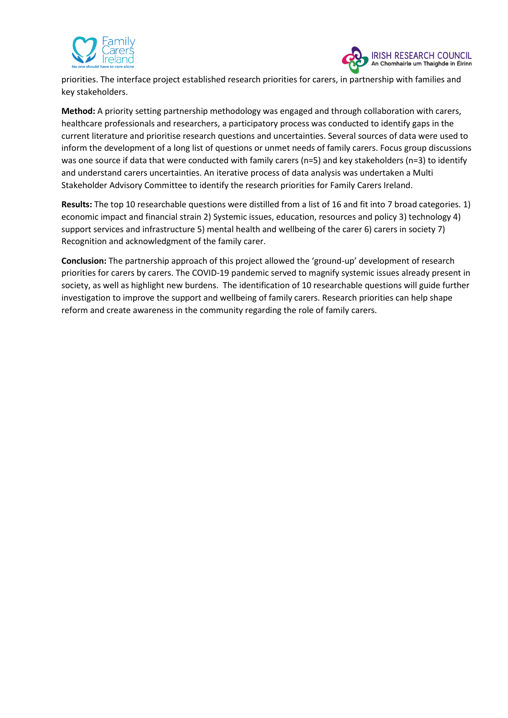



priorities. The interface project established research priorities for carers, in partnership with families and key stakeholders.

**Method:** A priority setting partnership methodology was engaged and through collaboration with carers, healthcare professionals and researchers, a participatory process was conducted to identify gaps in the current literature and prioritise research questions and uncertainties. Several sources of data were used to inform the development of a long list of questions or unmet needs of family carers. Focus group discussions was one source if data that were conducted with family carers (n=5) and key stakeholders (n=3) to identify and understand carers uncertainties. An iterative process of data analysis was undertaken a Multi Stakeholder Advisory Committee to identify the research priorities for Family Carers Ireland.

**Results:** The top 10 researchable questions were distilled from a list of 16 and fit into 7 broad categories. 1) economic impact and financial strain 2) Systemic issues, education, resources and policy 3) technology 4) support services and infrastructure 5) mental health and wellbeing of the carer 6) carers in society 7) Recognition and acknowledgment of the family carer.

**Conclusion:** The partnership approach of this project allowed the 'ground-up' development of research priorities for carers by carers. The COVID-19 pandemic served to magnify systemic issues already present in society, as well as highlight new burdens. The identification of 10 researchable questions will guide further investigation to improve the support and wellbeing of family carers. Research priorities can help shape reform and create awareness in the community regarding the role of family carers.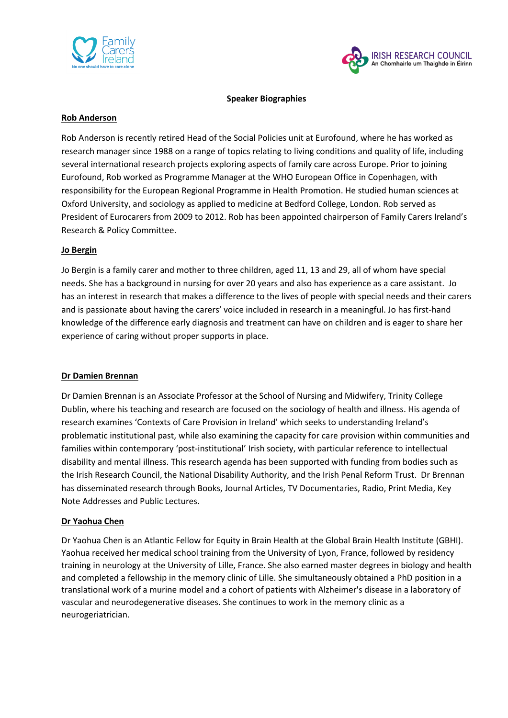



#### **Speaker Biographies**

#### **Rob Anderson**

Rob Anderson is recently retired Head of the Social Policies unit at Eurofound, where he has worked as research manager since 1988 on a range of topics relating to living conditions and quality of life, including several international research projects exploring aspects of family care across Europe. Prior to joining Eurofound, Rob worked as Programme Manager at the WHO European Office in Copenhagen, with responsibility for the European Regional Programme in Health Promotion. He studied human sciences at Oxford University, and sociology as applied to medicine at Bedford College, London. Rob served as President of Eurocarers from 2009 to 2012. Rob has been appointed chairperson of Family Carers Ireland's Research & Policy Committee.

#### **Jo Bergin**

Jo Bergin is a family carer and mother to three children, aged 11, 13 and 29, all of whom have special needs. She has a background in nursing for over 20 years and also has experience as a care assistant. Jo has an interest in research that makes a difference to the lives of people with special needs and their carers and is passionate about having the carers' voice included in research in a meaningful. Jo has first-hand knowledge of the difference early diagnosis and treatment can have on children and is eager to share her experience of caring without proper supports in place.

#### **Dr Damien Brennan**

Dr Damien Brennan is an Associate Professor at the School of Nursing and Midwifery, Trinity College Dublin, where his teaching and research are focused on the sociology of health and illness. His agenda of research examines 'Contexts of Care Provision in Ireland' which seeks to understanding Ireland's problematic institutional past, while also examining the capacity for care provision within communities and families within contemporary 'post-institutional' Irish society, with particular reference to intellectual disability and mental illness. This research agenda has been supported with funding from bodies such as the Irish Research Council, the National Disability Authority, and the Irish Penal Reform Trust. Dr Brennan has disseminated research through Books, Journal Articles, TV Documentaries, Radio, Print Media, Key Note Addresses and Public Lectures.

#### **Dr Yaohua Chen**

Dr Yaohua Chen is an Atlantic Fellow for Equity in Brain Health at the Global Brain Health Institute (GBHI). Yaohua received her medical school training from the University of Lyon, France, followed by residency training in neurology at the University of Lille, France. She also earned master degrees in biology and health and completed a fellowship in the memory clinic of Lille. She simultaneously obtained a PhD position in a translational work of a murine model and a cohort of patients with Alzheimer's disease in a laboratory of vascular and neurodegenerative diseases. She continues to work in the memory clinic as a neurogeriatrician.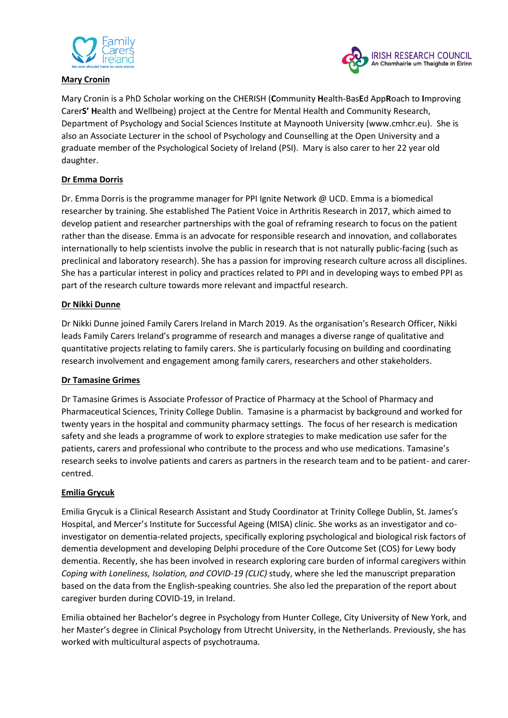

#### **Mary Cronin**



Mary Cronin is a PhD Scholar working on the CHERISH (**C**ommunity **H**ealth-Bas**E**d App**R**oach to **I**mproving Carer**S' H**ealth and Wellbeing) project at the Centre for Mental Health and Community Research, Department of Psychology and Social Sciences Institute at Maynooth University (www.cmhcr.eu). She is also an Associate Lecturer in the school of Psychology and Counselling at the Open University and a graduate member of the Psychological Society of Ireland (PSI). Mary is also carer to her 22 year old daughter.

## **Dr Emma Dorris**

Dr. Emma Dorris is the programme manager for PPI Ignite Network @ UCD. Emma is a biomedical researcher by training. She established The Patient Voice in Arthritis Research in 2017, which aimed to develop patient and researcher partnerships with the goal of reframing research to focus on the patient rather than the disease. Emma is an advocate for responsible research and innovation, and collaborates internationally to help scientists involve the public in research that is not naturally public-facing (such as preclinical and laboratory research). She has a passion for improving research culture across all disciplines. She has a particular interest in policy and practices related to PPI and in developing ways to embed PPI as part of the research culture towards more relevant and impactful research.

## **Dr Nikki Dunne**

Dr Nikki Dunne joined Family Carers Ireland in March 2019. As the organisation's Research Officer, Nikki leads Family Carers Ireland's programme of research and manages a diverse range of qualitative and quantitative projects relating to family carers. She is particularly focusing on building and coordinating research involvement and engagement among family carers, researchers and other stakeholders.

### **Dr Tamasine Grimes**

Dr Tamasine Grimes is Associate Professor of Practice of Pharmacy at the School of Pharmacy and Pharmaceutical Sciences, Trinity College Dublin. Tamasine is a pharmacist by background and worked for twenty years in the hospital and community pharmacy settings. The focus of her research is medication safety and she leads a programme of work to explore strategies to make medication use safer for the patients, carers and professional who contribute to the process and who use medications. Tamasine's research seeks to involve patients and carers as partners in the research team and to be patient- and carercentred.

### **Emilia Grycuk**

Emilia Grycuk is a Clinical Research Assistant and Study Coordinator at Trinity College Dublin, St. James's Hospital, and Mercer's Institute for Successful Ageing (MISA) clinic. She works as an investigator and coinvestigator on dementia-related projects, specifically exploring psychological and biological risk factors of dementia development and developing Delphi procedure of the Core Outcome Set (COS) for Lewy body dementia. Recently, she has been involved in research exploring care burden of informal caregivers within *Coping with Loneliness, Isolation, and COVID-19 (CLIC)* study, where she led the manuscript preparation based on the data from the English-speaking countries. She also led the preparation of the report about caregiver burden during COVID-19, in Ireland.

Emilia obtained her Bachelor's degree in Psychology from Hunter College, City University of New York, and her Master's degree in Clinical Psychology from Utrecht University, in the Netherlands. Previously, she has worked with multicultural aspects of psychotrauma.